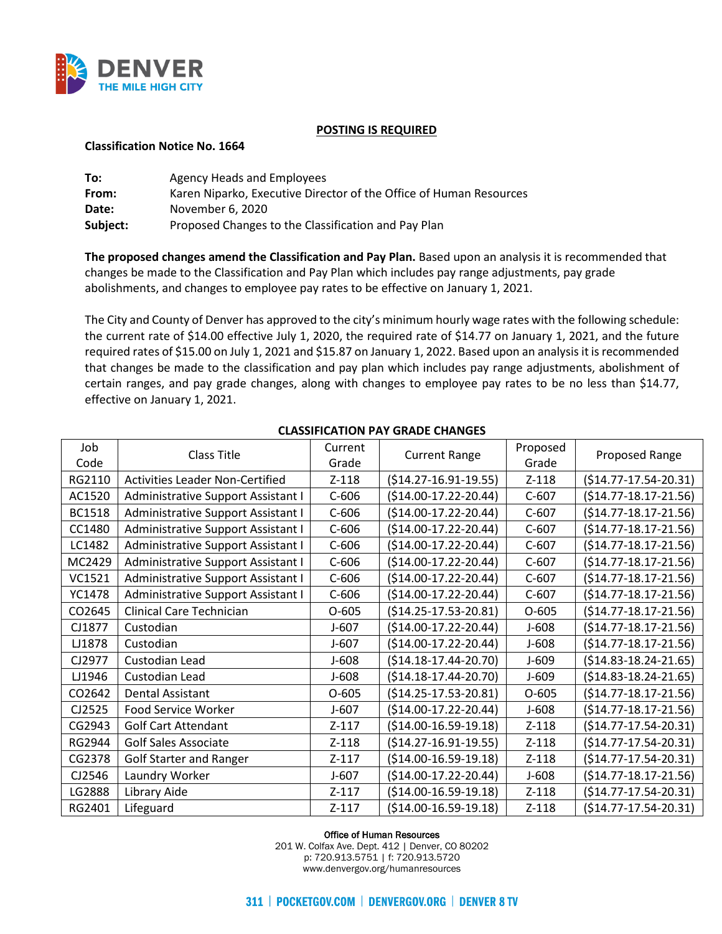

### **POSTING IS REQUIRED**

### **Classification Notice No. 1664**

| To:      | Agency Heads and Employees                                         |
|----------|--------------------------------------------------------------------|
| From:    | Karen Niparko, Executive Director of the Office of Human Resources |
| Date:    | November 6, 2020                                                   |
| Subject: | Proposed Changes to the Classification and Pay Plan                |

**The proposed changes amend the Classification and Pay Plan.** Based upon an analysis it is recommended that changes be made to the Classification and Pay Plan which includes pay range adjustments, pay grade abolishments, and changes to employee pay rates to be effective on January 1, 2021.

The City and County of Denver has approved to the city's minimum hourly wage rates with the following schedule: the current rate of \$14.00 effective July 1, 2020, the required rate of \$14.77 on January 1, 2021, and the future required rates of \$15.00 on July 1, 2021 and \$15.87 on January 1, 2022. Based upon an analysis it is recommended that changes be made to the classification and pay plan which includes pay range adjustments, abolishment of certain ranges, and pay grade changes, along with changes to employee pay rates to be no less than \$14.77, effective on January 1, 2021.

| Job           | <b>Class Title</b>                     | Current | <b>Current Range</b>   | Proposed | Proposed Range             |  |
|---------------|----------------------------------------|---------|------------------------|----------|----------------------------|--|
| Code          |                                        | Grade   |                        | Grade    |                            |  |
| RG2110        | <b>Activities Leader Non-Certified</b> | $Z-118$ | $($14.27-16.91-19.55)$ | $Z-118$  | $($14.77-17.54-20.31)$     |  |
| AC1520        | Administrative Support Assistant I     | $C-606$ | $($14.00-17.22-20.44)$ | $C-607$  | $($14.77-18.17-21.56)$     |  |
| <b>BC1518</b> | Administrative Support Assistant I     | $C-606$ | $($14.00-17.22-20.44)$ | $C-607$  | $(514.77 - 18.17 - 21.56)$ |  |
| CC1480        | Administrative Support Assistant I     | $C-606$ | $($14.00-17.22-20.44)$ | $C-607$  | $(514.77 - 18.17 - 21.56)$ |  |
| LC1482        | Administrative Support Assistant I     | $C-606$ | $($14.00-17.22-20.44)$ | $C-607$  | $($14.77-18.17-21.56)$     |  |
| MC2429        | Administrative Support Assistant I     | $C-606$ | $($14.00-17.22-20.44)$ | $C-607$  | $($14.77-18.17-21.56)$     |  |
| VC1521        | Administrative Support Assistant I     | $C-606$ | $($14.00-17.22-20.44)$ | $C-607$  | $($14.77-18.17-21.56)$     |  |
| YC1478        | Administrative Support Assistant I     | $C-606$ | $($14.00-17.22-20.44)$ | $C-607$  | $(514.77 - 18.17 - 21.56)$ |  |
| CO2645        | <b>Clinical Care Technician</b>        | $O-605$ | $($14.25-17.53-20.81)$ | $O-605$  | $($14.77-18.17-21.56)$     |  |
| CJ1877        | Custodian                              | $J-607$ | $($14.00-17.22-20.44)$ | $J-608$  | $($14.77-18.17-21.56)$     |  |
| LJ1878        | Custodian                              | $J-607$ | $($14.00-17.22-20.44)$ | $J-608$  | $(514.77 - 18.17 - 21.56)$ |  |
| CJ2977        | Custodian Lead                         | $J-608$ | $($14.18-17.44-20.70)$ | $J-609$  | $($14.83-18.24-21.65)$     |  |
| LJ1946        | Custodian Lead                         | $J-608$ | $($14.18-17.44-20.70)$ | $J-609$  | $($14.83-18.24-21.65)$     |  |
| CO2642        | <b>Dental Assistant</b>                | $O-605$ | $($14.25-17.53-20.81)$ | $O-605$  | $(514.77 - 18.17 - 21.56)$ |  |
| CJ2525        | Food Service Worker                    | $J-607$ | $($14.00-17.22-20.44)$ | $J-608$  | $(514.77 - 18.17 - 21.56)$ |  |
| CG2943        | <b>Golf Cart Attendant</b>             | $Z-117$ | $($14.00-16.59-19.18)$ | $Z-118$  | $($14.77-17.54-20.31)$     |  |
| RG2944        | <b>Golf Sales Associate</b>            | $Z-118$ | $($14.27-16.91-19.55)$ | $Z-118$  | $(514.77 - 17.54 - 20.31)$ |  |
| CG2378        | <b>Golf Starter and Ranger</b>         | $Z-117$ | $($14.00-16.59-19.18)$ | $Z-118$  | $(514.77 - 17.54 - 20.31)$ |  |
| CJ2546        | Laundry Worker                         | $J-607$ | $($14.00-17.22-20.44)$ | $J-608$  | $($14.77-18.17-21.56)$     |  |
| LG2888        | Library Aide                           | $Z-117$ | $($14.00-16.59-19.18)$ | $Z-118$  | $($14.77-17.54-20.31)$     |  |
| RG2401        | Lifeguard                              | $Z-117$ | $($14.00-16.59-19.18)$ | $Z-118$  | $(514.77 - 17.54 - 20.31)$ |  |

# **CLASSIFICATION PAY GRADE CHANGES**

Office of Human Resources

201 W. Colfax Ave. Dept. 412 | Denver, CO 80202 p: 720.913.5751 | f: 720.913.5720 www.denvergov.org/humanresources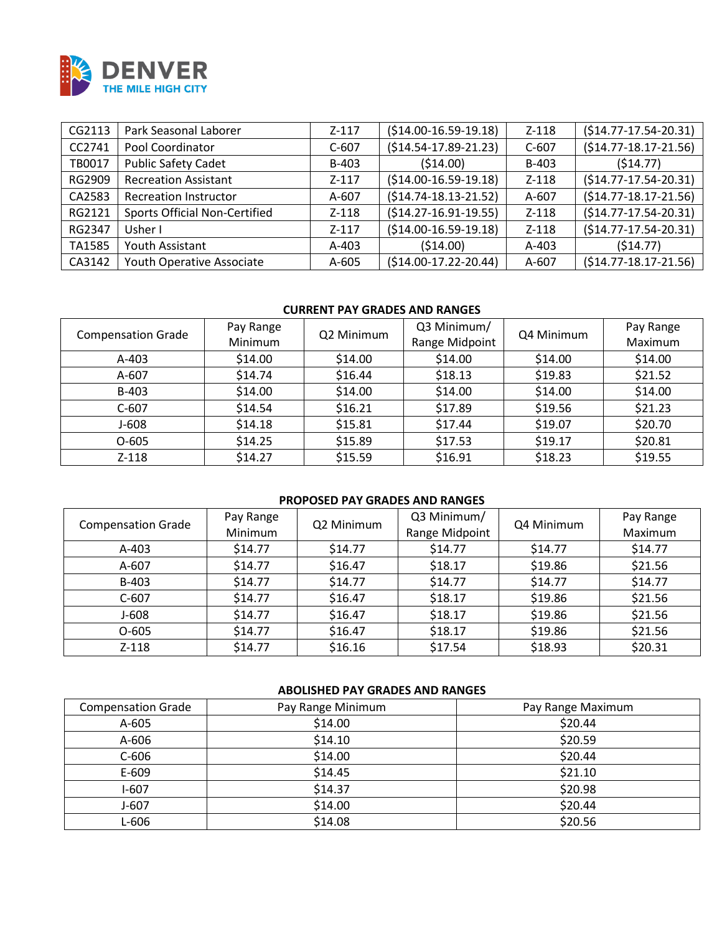

| CG2113 | Park Seasonal Laborer                | $Z - 117$ | $( $14.00-16.59-19.18)$    | $Z-118$ | $(514.77 - 17.54 - 20.31)$ |
|--------|--------------------------------------|-----------|----------------------------|---------|----------------------------|
| CC2741 | Pool Coordinator                     | $C-607$   | $(514.54-17.89-21.23)$     | $C-607$ | $(514.77 - 18.17 - 21.56)$ |
| TB0017 | <b>Public Safety Cadet</b>           | B-403     | (514.00)                   | B-403   | (514.77)                   |
| RG2909 | <b>Recreation Assistant</b>          | $Z - 117$ | $( $14.00-16.59-19.18)$    | $Z-118$ | $(514.77 - 17.54 - 20.31)$ |
| CA2583 | <b>Recreation Instructor</b>         | A-607     | $(514.74-18.13-21.52)$     | A-607   | $(514.77 - 18.17 - 21.56)$ |
| RG2121 | <b>Sports Official Non-Certified</b> | $Z-118$   | $(514.27 - 16.91 - 19.55)$ | $Z-118$ | $(514.77 - 17.54 - 20.31)$ |
| RG2347 | Usher I                              | $Z - 117$ | $( $14.00-16.59-19.18)$    | $Z-118$ | $(514.77 - 17.54 - 20.31)$ |
| TA1585 | Youth Assistant                      | $A-403$   | (514.00)                   | $A-403$ | (514.77)                   |
| CA3142 | Youth Operative Associate            | A-605     | $(514.00-17.22-20.44)$     | A-607   | $(514.77 - 18.17 - 21.56)$ |

## **CURRENT PAY GRADES AND RANGES**

| <b>Compensation Grade</b> | Pay Range<br>Minimum | Q2 Minimum | Q3 Minimum/<br>Range Midpoint | Q4 Minimum | Pay Range<br>Maximum |
|---------------------------|----------------------|------------|-------------------------------|------------|----------------------|
| $A-403$                   | \$14.00              | \$14.00    | \$14.00                       | \$14.00    | \$14.00              |
| A-607                     | \$14.74              | \$16.44    | \$18.13                       | \$19.83    | \$21.52              |
| B-403                     | \$14.00              | \$14.00    | \$14.00                       | \$14.00    | \$14.00              |
| $C-607$                   | \$14.54              | \$16.21    | \$17.89                       | \$19.56    | \$21.23              |
| J-608                     | \$14.18              | \$15.81    | \$17.44                       | \$19.07    | \$20.70              |
| $O-605$                   | \$14.25              | \$15.89    | \$17.53                       | \$19.17    | \$20.81              |
| $Z - 118$                 | \$14.27              | \$15.59    | \$16.91                       | \$18.23    | \$19.55              |

# **PROPOSED PAY GRADES AND RANGES**

| <b>Compensation Grade</b> | Pay Range<br>Minimum | Q2 Minimum | Q3 Minimum/<br>Range Midpoint | Q4 Minimum | Pay Range<br>Maximum |
|---------------------------|----------------------|------------|-------------------------------|------------|----------------------|
| $A-403$                   | \$14.77              | \$14.77    | \$14.77                       | \$14.77    | \$14.77              |
| A-607                     | \$14.77              | \$16.47    | \$18.17                       | \$19.86    | \$21.56              |
| B-403                     | \$14.77              | \$14.77    | \$14.77                       | \$14.77    | \$14.77              |
| $C-607$                   | \$14.77              | \$16.47    | \$18.17                       | \$19.86    | \$21.56              |
| J-608                     | \$14.77              | \$16.47    | \$18.17                       | \$19.86    | \$21.56              |
| $O-605$                   | \$14.77              | \$16.47    | \$18.17                       | \$19.86    | \$21.56              |
| $Z - 118$                 | \$14.77              | \$16.16    | \$17.54                       | \$18.93    | \$20.31              |

# **ABOLISHED PAY GRADES AND RANGES**

| <b>Compensation Grade</b> | Pay Range Minimum | Pay Range Maximum |
|---------------------------|-------------------|-------------------|
| A-605                     | \$14.00           | \$20.44           |
| A-606                     | \$14.10           | \$20.59           |
| $C-606$                   | \$14.00           | \$20.44           |
| $E - 609$                 | \$14.45           | \$21.10           |
| $I-607$                   | \$14.37           | \$20.98           |
| J-607                     | \$14.00           | \$20.44           |
| L-606                     | \$14.08           | \$20.56           |